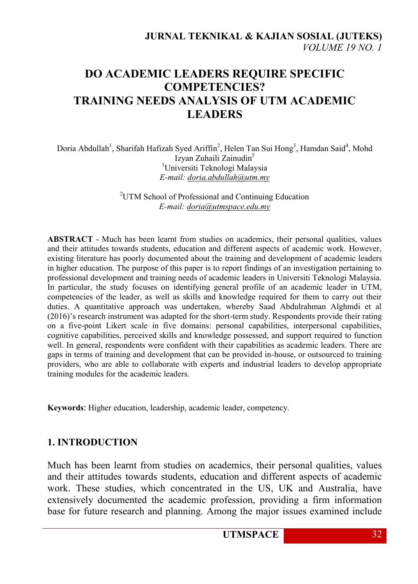## **DO ACADEMIC LEADERS REQUIRE SPECIFIC COMPETENCIES? TRAINING NEEDS ANALYSIS OF UTM ACADEMIC LEADERS**

Doria Abdullah<sup>1</sup>, Sharifah Hafizah Syed Ariffin<sup>2</sup>, Helen Tan Sui Hong<sup>3</sup>, Hamdan Said<sup>4</sup>, Mohd Izyan Zuhaili Zainudin<sup>5</sup> <sup>1</sup>Universiti Teknologi Malaysia *E-mail: [doria.abdullah@utm.my](mailto:doria.abdullah@utm.my)*

> <sup>2</sup>UTM School of Professional and Continuing Education *E-mail: [doria@utmspace.edu.my](mailto:doria@utmspace.edu.my)*

**ABSTRACT** - Much has been learnt from studies on academics, their personal qualities, values and their attitudes towards students, education and different aspects of academic work. However, existing literature has poorly documented about the training and development of academic leaders in higher education. The purpose of this paper is to report findings of an investigation pertaining to professional development and training needs of academic leaders in Universiti Teknologi Malaysia. In particular, the study focuses on identifying general profile of an academic leader in UTM, competencies of the leader, as well as skills and knowledge required for them to carry out their duties. A quantitative approach was undertaken, whereby Saad Abdulrahman Alghmdi et al (2016)'s research instrument was adapted for the short-term study. Respondents provide their rating on a five-point Likert scale in five domains: personal capabilities, interpersonal capabilities, cognitive capabilities, perceived skills and knowledge possessed, and support required to function well. In general, respondents were confident with their capabilities as academic leaders. There are gaps in terms of training and development that can be provided in-house, or outsourced to training providers, who are able to collaborate with experts and industrial leaders to develop appropriate training modules for the academic leaders.

**Keywords**: Higher education, leadership, academic leader, competency.

### **1. INTRODUCTION**

Much has been learnt from studies on academics, their personal qualities, values and their attitudes towards students, education and different aspects of academic work. These studies, which concentrated in the US, UK and Australia, have extensively documented the academic profession, providing a firm information base for future research and planning. Among the major issues examined include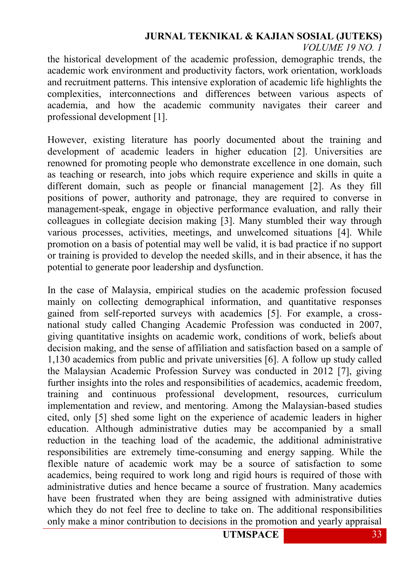### **JURNAL TEKNIKAL & KAJIAN SOSIAL (JUTEKS)**

*VOLUME 19 NO. 1*

the historical development of the academic profession, demographic trends, the academic work environment and productivity factors, work orientation, workloads and recruitment patterns. This intensive exploration of academic life highlights the complexities, interconnections and differences between various aspects of academia, and how the academic community navigates their career and professional development [1].

However, existing literature has poorly documented about the training and development of academic leaders in higher education [2]. Universities are renowned for promoting people who demonstrate excellence in one domain, such as teaching or research, into jobs which require experience and skills in quite a different domain, such as people or financial management [2]. As they fill positions of power, authority and patronage, they are required to converse in management-speak, engage in objective performance evaluation, and rally their colleagues in collegiate decision making [3]. Many stumbled their way through various processes, activities, meetings, and unwelcomed situations [4]. While promotion on a basis of potential may well be valid, it is bad practice if no support or training is provided to develop the needed skills, and in their absence, it has the potential to generate poor leadership and dysfunction.

In the case of Malaysia, empirical studies on the academic profession focused mainly on collecting demographical information, and quantitative responses gained from self-reported surveys with academics [5]. For example, a crossnational study called Changing Academic Profession was conducted in 2007, giving quantitative insights on academic work, conditions of work, beliefs about decision making, and the sense of affiliation and satisfaction based on a sample of 1,130 academics from public and private universities [6]. A follow up study called the Malaysian Academic Profession Survey was conducted in 2012 [7], giving further insights into the roles and responsibilities of academics, academic freedom, training and continuous professional development, resources, curriculum implementation and review, and mentoring. Among the Malaysian-based studies cited, only [5] shed some light on the experience of academic leaders in higher education. Although administrative duties may be accompanied by a small reduction in the teaching load of the academic, the additional administrative responsibilities are extremely time-consuming and energy sapping. While the flexible nature of academic work may be a source of satisfaction to some academics, being required to work long and rigid hours is required of those with administrative duties and hence became a source of frustration. Many academics have been frustrated when they are being assigned with administrative duties which they do not feel free to decline to take on. The additional responsibilities only make a minor contribution to decisions in the promotion and yearly appraisal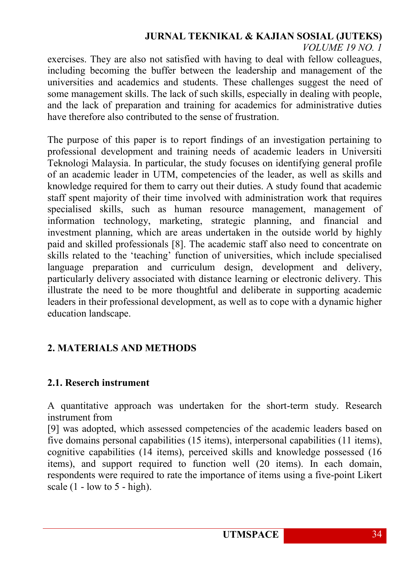# **JURNAL TEKNIKAL & KAJIAN SOSIAL (JUTEKS)**

*VOLUME 19 NO. 1*

exercises. They are also not satisfied with having to deal with fellow colleagues, including becoming the buffer between the leadership and management of the universities and academics and students. These challenges suggest the need of some management skills. The lack of such skills, especially in dealing with people, and the lack of preparation and training for academics for administrative duties have therefore also contributed to the sense of frustration.

The purpose of this paper is to report findings of an investigation pertaining to professional development and training needs of academic leaders in Universiti Teknologi Malaysia. In particular, the study focuses on identifying general profile of an academic leader in UTM, competencies of the leader, as well as skills and knowledge required for them to carry out their duties. A study found that academic staff spent majority of their time involved with administration work that requires specialised skills, such as human resource management, management of information technology, marketing, strategic planning, and financial and investment planning, which are areas undertaken in the outside world by highly paid and skilled professionals [8]. The academic staff also need to concentrate on skills related to the 'teaching' function of universities, which include specialised language preparation and curriculum design, development and delivery, particularly delivery associated with distance learning or electronic delivery. This illustrate the need to be more thoughtful and deliberate in supporting academic leaders in their professional development, as well as to cope with a dynamic higher education landscape.

### **2. MATERIALS AND METHODS**

### **2.1. Reserch instrument**

A quantitative approach was undertaken for the short-term study. Research instrument from

[9] was adopted, which assessed competencies of the academic leaders based on five domains personal capabilities (15 items), interpersonal capabilities (11 items), cognitive capabilities (14 items), perceived skills and knowledge possessed (16 items), and support required to function well (20 items). In each domain, respondents were required to rate the importance of items using a five-point Likert scale  $(1 - low to 5 - high)$ .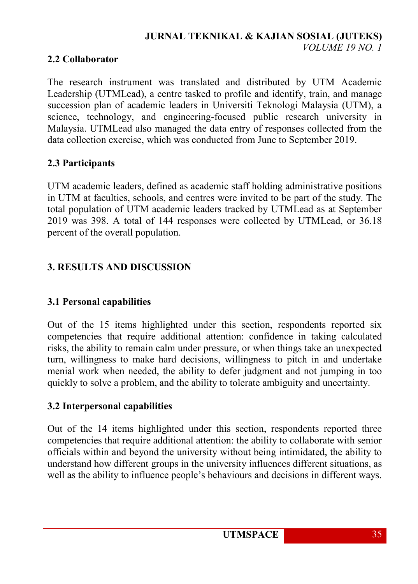### **JURNAL TEKNIKAL & KAJIAN SOSIAL (JUTEKS)** *VOLUME 19 NO. 1*

### **2.2 Collaborator**

The research instrument was translated and distributed by UTM Academic Leadership (UTMLead), a centre tasked to profile and identify, train, and manage succession plan of academic leaders in Universiti Teknologi Malaysia (UTM), a science, technology, and engineering-focused public research university in Malaysia. UTMLead also managed the data entry of responses collected from the data collection exercise, which was conducted from June to September 2019.

### **2.3 Participants**

UTM academic leaders, defined as academic staff holding administrative positions in UTM at faculties, schools, and centres were invited to be part of the study. The total population of UTM academic leaders tracked by UTMLead as at September 2019 was 398. A total of 144 responses were collected by UTMLead, or 36.18 percent of the overall population.

### **3. RESULTS AND DISCUSSION**

### **3.1 Personal capabilities**

Out of the 15 items highlighted under this section, respondents reported six competencies that require additional attention: confidence in taking calculated risks, the ability to remain calm under pressure, or when things take an unexpected turn, willingness to make hard decisions, willingness to pitch in and undertake menial work when needed, the ability to defer judgment and not jumping in too quickly to solve a problem, and the ability to tolerate ambiguity and uncertainty.

### **3.2 Interpersonal capabilities**

Out of the 14 items highlighted under this section, respondents reported three competencies that require additional attention: the ability to collaborate with senior officials within and beyond the university without being intimidated, the ability to understand how different groups in the university influences different situations, as well as the ability to influence people's behaviours and decisions in different ways.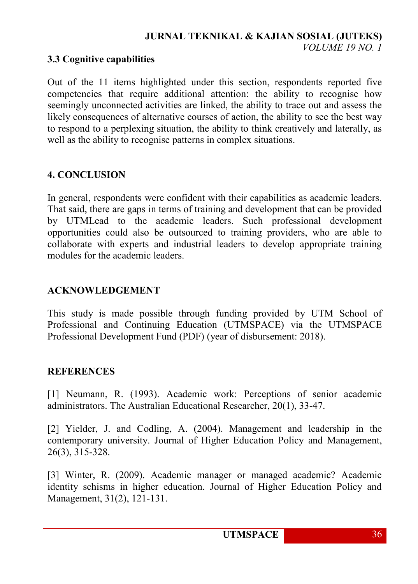#### **JURNAL TEKNIKAL & KAJIAN SOSIAL (JUTEKS)** *VOLUME 19 NO. 1*

#### **3.3 Cognitive capabilities**

Out of the 11 items highlighted under this section, respondents reported five competencies that require additional attention: the ability to recognise how seemingly unconnected activities are linked, the ability to trace out and assess the likely consequences of alternative courses of action, the ability to see the best way to respond to a perplexing situation, the ability to think creatively and laterally, as well as the ability to recognise patterns in complex situations.

### **4. CONCLUSION**

In general, respondents were confident with their capabilities as academic leaders. That said, there are gaps in terms of training and development that can be provided by UTMLead to the academic leaders. Such professional development opportunities could also be outsourced to training providers, who are able to collaborate with experts and industrial leaders to develop appropriate training modules for the academic leaders.

### **ACKNOWLEDGEMENT**

This study is made possible through funding provided by UTM School of Professional and Continuing Education (UTMSPACE) via the UTMSPACE Professional Development Fund (PDF) (year of disbursement: 2018).

#### **REFERENCES**

[1] Neumann, R. (1993). Academic work: Perceptions of senior academic administrators. The Australian Educational Researcher, 20(1), 33-47.

[2] Yielder, J. and Codling, A. (2004). Management and leadership in the contemporary university. Journal of Higher Education Policy and Management, 26(3), 315-328.

[3] Winter, R. (2009). Academic manager or managed academic? Academic identity schisms in higher education. Journal of Higher Education Policy and Management, 31(2), 121-131.